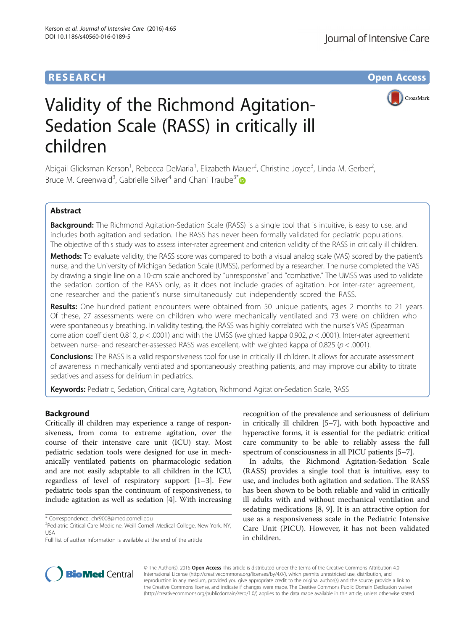## **RESEARCH CHE Open Access**

CrossMark

# Validity of the Richmond Agitation-Sedation Scale (RASS) in critically ill children

Abigail Glicksman Kerson<sup>1</sup>, Rebecca DeMaria<sup>1</sup>, Elizabeth Mauer<sup>2</sup>, Christine Joyce<sup>3</sup>, Linda M. Gerber<sup>2</sup> , Bruce M. Greenwald<sup>3</sup>, Gabrielle Silver<sup>4</sup> and Chani Traube<sup>3[\\*](http://orcid.org/0000-0003-1863-7950)</sup>

## Abstract

Background: The Richmond Agitation-Sedation Scale (RASS) is a single tool that is intuitive, is easy to use, and includes both agitation and sedation. The RASS has never been formally validated for pediatric populations. The objective of this study was to assess inter-rater agreement and criterion validity of the RASS in critically ill children.

Methods: To evaluate validity, the RASS score was compared to both a visual analog scale (VAS) scored by the patient's nurse, and the University of Michigan Sedation Scale (UMSS), performed by a researcher. The nurse completed the VAS by drawing a single line on a 10-cm scale anchored by "unresponsive" and "combative." The UMSS was used to validate the sedation portion of the RASS only, as it does not include grades of agitation. For inter-rater agreement, one researcher and the patient's nurse simultaneously but independently scored the RASS.

Results: One hundred patient encounters were obtained from 50 unique patients, ages 2 months to 21 years. Of these, 27 assessments were on children who were mechanically ventilated and 73 were on children who were spontaneously breathing. In validity testing, the RASS was highly correlated with the nurse's VAS (Spearman correlation coefficient 0.810,  $p < .0001$ ) and with the UMSS (weighted kappa 0.902,  $p < .0001$ ). Inter-rater agreement between nurse- and researcher-assessed RASS was excellent, with weighted kappa of 0.825 ( $p <$  .0001).

**Conclusions:** The RASS is a valid responsiveness tool for use in critically ill children. It allows for accurate assessment of awareness in mechanically ventilated and spontaneously breathing patients, and may improve our ability to titrate sedatives and assess for delirium in pediatrics.

Keywords: Pediatric, Sedation, Critical care, Agitation, Richmond Agitation-Sedation Scale, RASS

## Background

Critically ill children may experience a range of responsiveness, from coma to extreme agitation, over the course of their intensive care unit (ICU) stay. Most pediatric sedation tools were designed for use in mechanically ventilated patients on pharmacologic sedation and are not easily adaptable to all children in the ICU, regardless of level of respiratory support [\[1](#page-5-0)–[3\]](#page-5-0). Few pediatric tools span the continuum of responsiveness, to include agitation as well as sedation [[4](#page-5-0)]. With increasing recognition of the prevalence and seriousness of delirium in critically ill children [\[5](#page-5-0)–[7\]](#page-5-0), with both hypoactive and hyperactive forms, it is essential for the pediatric critical care community to be able to reliably assess the full spectrum of consciousness in all PICU patients [[5](#page-5-0)–[7](#page-5-0)].

In adults, the Richmond Agitation-Sedation Scale (RASS) provides a single tool that is intuitive, easy to use, and includes both agitation and sedation. The RASS has been shown to be both reliable and valid in critically ill adults with and without mechanical ventilation and sedating medications [[8, 9](#page-5-0)]. It is an attractive option for use as a responsiveness scale in the Pediatric Intensive Care Unit (PICU). However, it has not been validated in children.



© The Author(s). 2016 Open Access This article is distributed under the terms of the Creative Commons Attribution 4.0 International License [\(http://creativecommons.org/licenses/by/4.0/](http://creativecommons.org/licenses/by/4.0/)), which permits unrestricted use, distribution, and reproduction in any medium, provided you give appropriate credit to the original author(s) and the source, provide a link to the Creative Commons license, and indicate if changes were made. The Creative Commons Public Domain Dedication waiver [\(http://creativecommons.org/publicdomain/zero/1.0/](http://creativecommons.org/publicdomain/zero/1.0/)) applies to the data made available in this article, unless otherwise stated.

<sup>\*</sup> Correspondence: [chr9008@med.cornell.edu](mailto:chr9008@med.cornell.edu) <sup>3</sup>

<sup>&</sup>lt;sup>3</sup>Pediatric Critical Care Medicine, Weill Cornell Medical College, New York, NY, USA

Full list of author information is available at the end of the article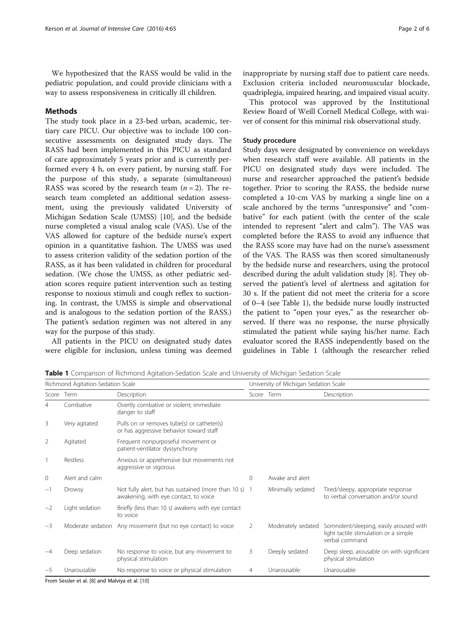<span id="page-1-0"></span>We hypothesized that the RASS would be valid in the pediatric population, and could provide clinicians with a way to assess responsiveness in critically ill children.

## Methods

The study took place in a 23-bed urban, academic, tertiary care PICU. Our objective was to include 100 consecutive assessments on designated study days. The RASS had been implemented in this PICU as standard of care approximately 5 years prior and is currently performed every 4 h, on every patient, by nursing staff. For the purpose of this study, a separate (simultaneous) RASS was scored by the research team  $(n = 2)$ . The research team completed an additional sedation assessment, using the previously validated University of Michigan Sedation Scale (UMSS) [\[10\]](#page-5-0), and the bedside nurse completed a visual analog scale (VAS). Use of the VAS allowed for capture of the bedside nurse's expert opinion in a quantitative fashion. The UMSS was used to assess criterion validity of the sedation portion of the RASS, as it has been validated in children for procedural sedation. (We chose the UMSS, as other pediatric sedation scores require patient intervention such as testing response to noxious stimuli and cough reflex to suctioning. In contrast, the UMSS is simple and observational and is analogous to the sedation portion of the RASS.) The patient's sedation regimen was not altered in any way for the purpose of this study.

All patients in the PICU on designated study dates were eligible for inclusion, unless timing was deemed inappropriate by nursing staff due to patient care needs. Exclusion criteria included neuromuscular blockade, quadriplegia, impaired hearing, and impaired visual acuity.

This protocol was approved by the Institutional Review Board of Weill Cornell Medical College, with waiver of consent for this minimal risk observational study.

## Study procedure

Study days were designated by convenience on weekdays when research staff were available. All patients in the PICU on designated study days were included. The nurse and researcher approached the patient's bedside together. Prior to scoring the RASS, the bedside nurse completed a 10-cm VAS by marking a single line on a scale anchored by the terms "unresponsive" and "combative" for each patient (with the center of the scale intended to represent "alert and calm"). The VAS was completed before the RASS to avoid any influence that the RASS score may have had on the nurse's assessment of the VAS. The RASS was then scored simultaneously by the bedside nurse and researchers, using the protocol described during the adult validation study [[8\]](#page-5-0). They observed the patient's level of alertness and agitation for 30 s. If the patient did not meet the criteria for a score of 0–4 (see Table 1), the bedside nurse loudly instructed the patient to "open your eyes," as the researcher observed. If there was no response, the nurse physically stimulated the patient while saying his/her name. Each evaluator scored the RASS independently based on the guidelines in Table 1 (although the researcher relied

Table 1 Comparison of Richmond Agitation-Sedation Scale and University of Michigan Sedation Scale

|                | Richmond Agitation-Sedation Scale |                                                                                                |   | University of Michigan Sedation Scale |                                                                                                                       |  |  |  |
|----------------|-----------------------------------|------------------------------------------------------------------------------------------------|---|---------------------------------------|-----------------------------------------------------------------------------------------------------------------------|--|--|--|
|                | Score Term                        | Description                                                                                    |   | Score Term                            | Description                                                                                                           |  |  |  |
| 4              | Combative                         | Overtly combative or violent; immediate<br>danger to staff                                     |   |                                       |                                                                                                                       |  |  |  |
| 3              | Very agitated                     | Pulls on or removes tube(s) or catheter(s)<br>or has aggressive behavior toward staff          |   |                                       |                                                                                                                       |  |  |  |
| $\overline{2}$ | Agitated                          | Frequent nonpurposeful movement or<br>patient-ventilator dyssynchrony                          |   |                                       |                                                                                                                       |  |  |  |
|                | Restless                          | Anxious or apprehensive but movements not<br>aggressive or vigorous                            |   |                                       |                                                                                                                       |  |  |  |
| $\mathbf{0}$   | Alert and calm                    |                                                                                                | 0 | Awake and alert                       |                                                                                                                       |  |  |  |
| $-1$           | Drowsy                            | Not fully alert, but has sustained (more than 10 s) 1<br>awakening, with eye contact, to voice |   | Minimally sedated                     | Tired/sleepy, appropriate response<br>to verbal conversation and/or sound                                             |  |  |  |
| $-2$           | Light sedation                    | Briefly (less than 10 s) awakens with eye contact<br>to voice                                  |   |                                       |                                                                                                                       |  |  |  |
| $-3$           |                                   | Moderate sedation Any movement (but no eye contact) to voice                                   | 2 |                                       | Moderately sedated Somnolent/sleeping, easily aroused with<br>light tactile stimulation or a simple<br>verbal command |  |  |  |
| $-4$           | Deep sedation                     | No response to voice, but any movement to<br>physical stimulation                              | 3 | Deeply sedated                        | Deep sleep, arousable on with significant<br>physical stimulation                                                     |  |  |  |
| $-5$           | Unarousable                       | No response to voice or physical stimulation                                                   | 4 | Unarousable                           | Unarousable                                                                                                           |  |  |  |

From Sessler et al. [\[8\]](#page-5-0) and Malviya et al. [[10\]](#page-5-0)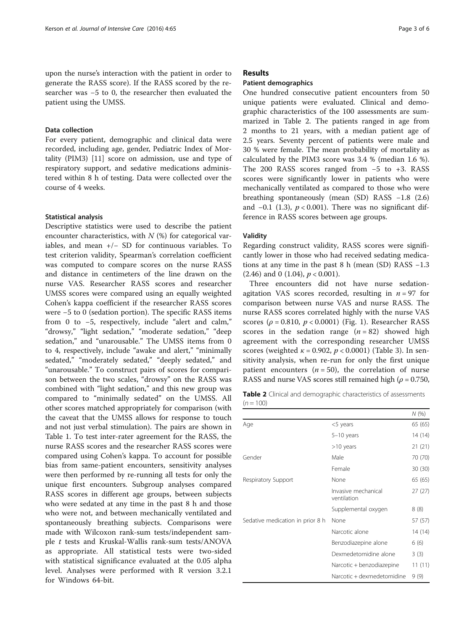upon the nurse's interaction with the patient in order to generate the RASS score). If the RASS scored by the researcher was −5 to 0, the researcher then evaluated the patient using the UMSS.

## Data collection

For every patient, demographic and clinical data were recorded, including age, gender, Pediatric Index of Mortality (PIM3) [\[11\]](#page-5-0) score on admission, use and type of respiratory support, and sedative medications administered within 8 h of testing. Data were collected over the course of 4 weeks.

## Statistical analysis

Descriptive statistics were used to describe the patient encounter characteristics, with  $N$  (%) for categorical variables, and mean  $+/-$  SD for continuous variables. To test criterion validity, Spearman's correlation coefficient was computed to compare scores on the nurse RASS and distance in centimeters of the line drawn on the nurse VAS. Researcher RASS scores and researcher UMSS scores were compared using an equally weighted Cohen's kappa coefficient if the researcher RASS scores were −5 to 0 (sedation portion). The specific RASS items from 0 to −5, respectively, include "alert and calm," "drowsy," "light sedation," "moderate sedation," "deep sedation," and "unarousable." The UMSS items from 0 to 4, respectively, include "awake and alert," "minimally sedated," "moderately sedated," "deeply sedated," and "unarousable." To construct pairs of scores for comparison between the two scales, "drowsy" on the RASS was combined with "light sedation," and this new group was compared to "minimally sedated" on the UMSS. All other scores matched appropriately for comparison (with the caveat that the UMSS allows for response to touch and not just verbal stimulation). The pairs are shown in Table [1](#page-1-0). To test inter-rater agreement for the RASS, the nurse RASS scores and the researcher RASS scores were compared using Cohen's kappa. To account for possible bias from same-patient encounters, sensitivity analyses were then performed by re-running all tests for only the unique first encounters. Subgroup analyses compared RASS scores in different age groups, between subjects who were sedated at any time in the past 8 h and those who were not, and between mechanically ventilated and spontaneously breathing subjects. Comparisons were made with Wilcoxon rank-sum tests/independent sample t tests and Kruskal-Wallis rank-sum tests/ANOVA as appropriate. All statistical tests were two-sided with statistical significance evaluated at the 0.05 alpha level. Analyses were performed with R version 3.2.1 for Windows 64-bit.

## Results

### Patient demographics

One hundred consecutive patient encounters from 50 unique patients were evaluated. Clinical and demographic characteristics of the 100 assessments are summarized in Table 2. The patients ranged in age from 2 months to 21 years, with a median patient age of 2.5 years. Seventy percent of patients were male and 30 % were female. The mean probability of mortality as calculated by the PIM3 score was 3.4 % (median 1.6 %). The 200 RASS scores ranged from −5 to +3. RASS scores were significantly lower in patients who were mechanically ventilated as compared to those who were breathing spontaneously (mean (SD) RASS −1.8 (2.6) and  $-0.1$  (1.3),  $p < 0.001$ ). There was no significant difference in RASS scores between age groups.

#### Validity

Regarding construct validity, RASS scores were significantly lower in those who had received sedating medications at any time in the past 8 h (mean (SD) RASS −1.3  $(2.46)$  and 0  $(1.04)$ ,  $p < 0.001$ ).

Three encounters did not have nurse sedationagitation VAS scores recorded, resulting in  $n = 97$  for comparison between nurse VAS and nurse RASS. The nurse RASS scores correlated highly with the nurse VAS scores ( $\rho = 0.810$ ,  $p < 0.0001$ ) (Fig. [1](#page-3-0)). Researcher RASS scores in the sedation range  $(n = 82)$  showed high agreement with the corresponding researcher UMSS scores (weighted  $\kappa = 0.902$ ,  $p < 0.0001$ ) (Table [3\)](#page-3-0). In sensitivity analysis, when re-run for only the first unique patient encounters  $(n = 50)$ , the correlation of nurse RASS and nurse VAS scores still remained high ( $\rho$  = 0.750,

Table 2 Clinical and demographic characteristics of assessments  $(n = 100)$ 

|                                  |                                    | N (%)                                                                                            |
|----------------------------------|------------------------------------|--------------------------------------------------------------------------------------------------|
| Age                              | <5 years                           | 65 (65)                                                                                          |
|                                  | $5-10$ years                       |                                                                                                  |
|                                  | $>10$ years                        | 21(21)                                                                                           |
| Gender                           | Male                               | 70 (70)                                                                                          |
|                                  | Female                             | 14 (14)<br>30 (30)<br>65 (65)<br>27(27)<br>8(8)<br>57 (57)<br>14 (14)<br>6 (6)<br>3(3)<br>11(11) |
| Respiratory Support              | None                               |                                                                                                  |
|                                  | Invasive mechanical<br>ventilation |                                                                                                  |
|                                  | Supplemental oxygen                |                                                                                                  |
| Sedative medication in prior 8 h | None                               |                                                                                                  |
|                                  | Narcotic alone                     |                                                                                                  |
|                                  | Benzodiazepine alone               |                                                                                                  |
|                                  | Dexmedetomidine alone              |                                                                                                  |
|                                  | Narcotic + benzodiazepine          |                                                                                                  |
|                                  | Narcotic + dexmedetomidine         | 9 (9)                                                                                            |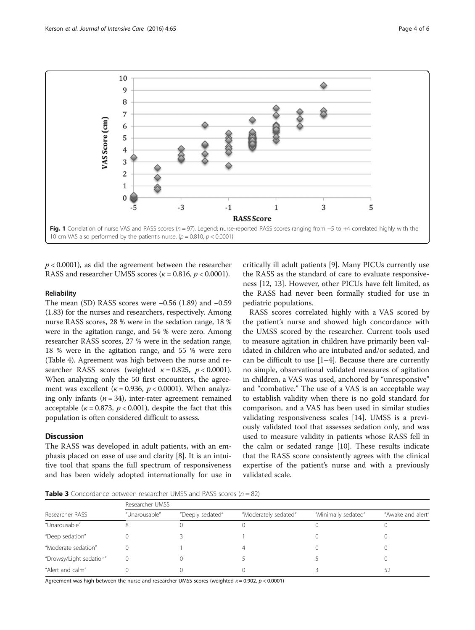<span id="page-3-0"></span>

 $p < 0.0001$ ), as did the agreement between the researcher RASS and researcher UMSS scores ( $\kappa$  = 0.816,  $p$  < 0.0001).

### Reliability

The mean (SD) RASS scores were −0.56 (1.89) and −0.59 (1.83) for the nurses and researchers, respectively. Among nurse RASS scores, 28 % were in the sedation range, 18 % were in the agitation range, and 54 % were zero. Among researcher RASS scores, 27 % were in the sedation range, 18 % were in the agitation range, and 55 % were zero (Table [4](#page-4-0)). Agreement was high between the nurse and researcher RASS scores (weighted  $\kappa = 0.825$ ,  $p < 0.0001$ ). When analyzing only the 50 first encounters, the agreement was excellent ( $\kappa$  = 0.936,  $p$  < 0.0001). When analyzing only infants  $(n = 34)$ , inter-rater agreement remained acceptable ( $\kappa$  = 0.873,  $p$  < 0.001), despite the fact that this population is often considered difficult to assess.

## **Discussion**

The RASS was developed in adult patients, with an emphasis placed on ease of use and clarity [[8](#page-5-0)]. It is an intuitive tool that spans the full spectrum of responsiveness and has been widely adopted internationally for use in

critically ill adult patients [[9](#page-5-0)]. Many PICUs currently use the RASS as the standard of care to evaluate responsiveness [[12](#page-5-0), [13\]](#page-5-0). However, other PICUs have felt limited, as the RASS had never been formally studied for use in pediatric populations.

RASS scores correlated highly with a VAS scored by the patient's nurse and showed high concordance with the UMSS scored by the researcher. Current tools used to measure agitation in children have primarily been validated in children who are intubated and/or sedated, and can be difficult to use [\[1](#page-5-0)–[4\]](#page-5-0). Because there are currently no simple, observational validated measures of agitation in children, a VAS was used, anchored by "unresponsive" and "combative." The use of a VAS is an acceptable way to establish validity when there is no gold standard for comparison, and a VAS has been used in similar studies validating responsiveness scales [\[14](#page-5-0)]. UMSS is a previously validated tool that assesses sedation only, and was used to measure validity in patients whose RASS fell in the calm or sedated range [\[10\]](#page-5-0). These results indicate that the RASS score consistently agrees with the clinical expertise of the patient's nurse and with a previously validated scale.

**Table 3** Concordance between researcher UMSS and RASS scores ( $n = 82$ )

|                                  | Researcher UMSS |                  |                      |                     |                   |  |  |
|----------------------------------|-----------------|------------------|----------------------|---------------------|-------------------|--|--|
| Researcher RASS<br>"Unarousable" | "Unarousable"   | "Deeply sedated" | "Moderately sedated" | "Minimally sedated" | "Awake and alert" |  |  |
|                                  |                 |                  |                      |                     |                   |  |  |
| "Deep sedation"                  |                 |                  |                      |                     |                   |  |  |
| "Moderate sedation"              |                 |                  |                      |                     |                   |  |  |
| "Drowsy/Light sedation"          |                 |                  |                      |                     |                   |  |  |
| "Alert and calm"                 |                 |                  |                      |                     |                   |  |  |

Agreement was high between the nurse and researcher UMSS scores (weighted  $\kappa = 0.902$ ,  $p < 0.0001$ )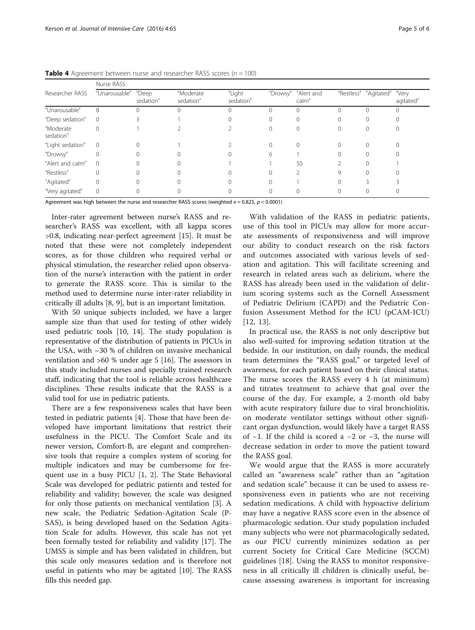|                        | Nurse RASS    |                    |                        |                     |          |                     |   |                       |                    |
|------------------------|---------------|--------------------|------------------------|---------------------|----------|---------------------|---|-----------------------|--------------------|
| Researcher RASS        | "Unarousable" | "Deep<br>sedation" | "Moderate<br>sedation" | "Light<br>sedation" | "Drowsy" | "Alert and<br>calm" |   | "Restless" "Agitated" | "Very<br>agitated" |
| "Unarousable"          | 8             |                    |                        |                     |          | 0                   |   | $\Omega$              |                    |
| "Deep sedation"        | $\mathbf{0}$  |                    |                        |                     |          |                     |   | $\Omega$              |                    |
| "Moderate<br>sedation" | $\Omega$      |                    |                        |                     |          | 0                   |   | 0                     |                    |
| "Light sedation"       | $\circ$       |                    |                        |                     | $\Omega$ | $\Omega$            | 0 | $\Omega$              |                    |
| "Drowsy"               | $\mathbf{0}$  |                    |                        |                     | h        |                     |   |                       |                    |
| "Alert and calm"       | $\mathbf{0}$  |                    |                        |                     |          | 50                  |   |                       |                    |
| "Restless"             | $\mathbf{0}$  |                    |                        |                     |          |                     | 9 | U                     |                    |
| "Agitated"             | $\mathbf{0}$  |                    |                        |                     |          |                     |   |                       |                    |
| "Very agitated"        | $\mathbf{0}$  |                    |                        |                     |          |                     |   | 0                     |                    |

<span id="page-4-0"></span>**Table 4** Agreement between nurse and researcher RASS scores ( $n = 100$ )

Agreement was high between the nurse and researcher RASS scores (weighted  $\kappa = 0.825$ ,  $p < 0.0001$ )

Inter-rater agreement between nurse's RASS and researcher's RASS was excellent, with all kappa scores >0.8, indicating near-perfect agreement [\[15](#page-5-0)]. It must be noted that these were not completely independent scores, as for those children who required verbal or physical stimulation, the researcher relied upon observation of the nurse's interaction with the patient in order to generate the RASS score. This is similar to the method used to determine nurse inter-rater reliability in critically ill adults [[8](#page-5-0), [9](#page-5-0)], but is an important limitation.

With 50 unique subjects included, we have a larger sample size than that used for testing of other widely used pediatric tools [\[10](#page-5-0), [14](#page-5-0)]. The study population is representative of the distribution of patients in PICUs in the USA, with ~30 % of children on invasive mechanical ventilation and >60 % under age 5 [\[16\]](#page-5-0). The assessors in this study included nurses and specially trained research staff, indicating that the tool is reliable across healthcare disciplines. These results indicate that the RASS is a valid tool for use in pediatric patients.

There are a few responsiveness scales that have been tested in pediatric patients [\[4](#page-5-0)]. Those that have been developed have important limitations that restrict their usefulness in the PICU. The Comfort Scale and its newer version, Comfort-B, are elegant and comprehensive tools that require a complex system of scoring for multiple indicators and may be cumbersome for frequent use in a busy PICU [[1, 2](#page-5-0)]. The State Behavioral Scale was developed for pediatric patients and tested for reliability and validity; however, the scale was designed for only those patients on mechanical ventilation [[3](#page-5-0)]. A new scale, the Pediatric Sedation-Agitation Scale (P-SAS), is being developed based on the Sedation Agitation Scale for adults. However, this scale has not yet been formally tested for reliability and validity [[17\]](#page-5-0). The UMSS is simple and has been validated in children, but this scale only measures sedation and is therefore not useful in patients who may be agitated [[10\]](#page-5-0). The RASS fills this needed gap.

With validation of the RASS in pediatric patients, use of this tool in PICUs may allow for more accurate assessments of responsiveness and will improve our ability to conduct research on the risk factors and outcomes associated with various levels of sedation and agitation. This will facilitate screening and research in related areas such as delirium, where the RASS has already been used in the validation of delirium scoring systems such as the Cornell Assessment of Pediatric Delirium (CAPD) and the Pediatric Confusion Assessment Method for the ICU (pCAM-ICU) [[12, 13](#page-5-0)].

In practical use, the RASS is not only descriptive but also well-suited for improving sedation titration at the bedside. In our institution, on daily rounds, the medical team determines the "RASS goal," or targeted level of awareness, for each patient based on their clinical status. The nurse scores the RASS every 4 h (at minimum) and titrates treatment to achieve that goal over the course of the day. For example, a 2-month old baby with acute respiratory failure due to viral bronchiolitis, on moderate ventilator settings without other significant organ dysfunction, would likely have a target RASS of −1. If the child is scored a −2 or −3, the nurse will decrease sedation in order to move the patient toward the RASS goal.

We would argue that the RASS is more accurately called an "awareness scale" rather than an "agitation and sedation scale" because it can be used to assess responsiveness even in patients who are not receiving sedation medications. A child with hypoactive delirium may have a negative RASS score even in the absence of pharmacologic sedation. Our study population included many subjects who were not pharmacologically sedated, as our PICU currently minimizes sedation as per current Society for Critical Care Medicine (SCCM) guidelines [[18](#page-5-0)]. Using the RASS to monitor responsiveness in all critically ill children is clinically useful, because assessing awareness is important for increasing